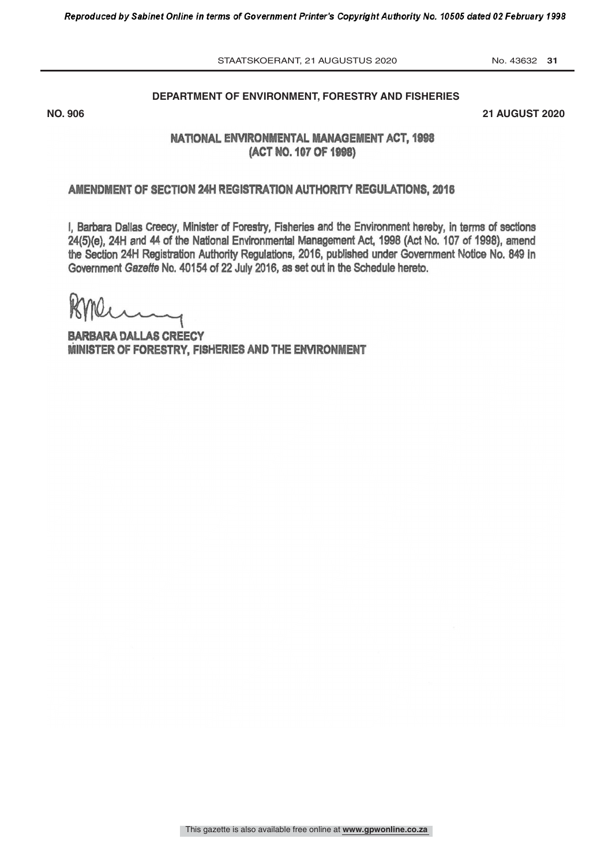DEPARTMENT OF ENVIRONMENT, FORESTRY AND FISHERIES STAATSKOERANT, 21 AUGUSTUS 2020 No. 43632 31

## **DEPARTMENT OF ENVIRONMENT, FORESTRY AND FISHERIES**

 $306$  21 AUGI **NO. 906 21 AUGUST 2020**

# NATIONAL ENVIRONMENTAL MANAGEMENT ACT, 1998 (ACT NO. 107 OF 1998)

## AMENDMENT OF SECTION 24H REGISTRATION AUTHORITY REGULATIONS, 2016

I, Barbara Dallas Creecy, Minister of Forestry, Fisheries and the Environment hereby, in terms of sections 24(5)(e), 24H and 44 of the National Environmental Management Act, 1998 (Act No. 107 of 1998), amend the Section 24H Registration Authority Regulations, 2016, published under Government Notice No, 849 In Government Gazette No. 40154 of 22 July 2016, as set out in the Schedule hereto.

BARBARA DALLAS CREECY MINISTER OF FORESTRY, FISHERIES AND THE ENVIRONMENT